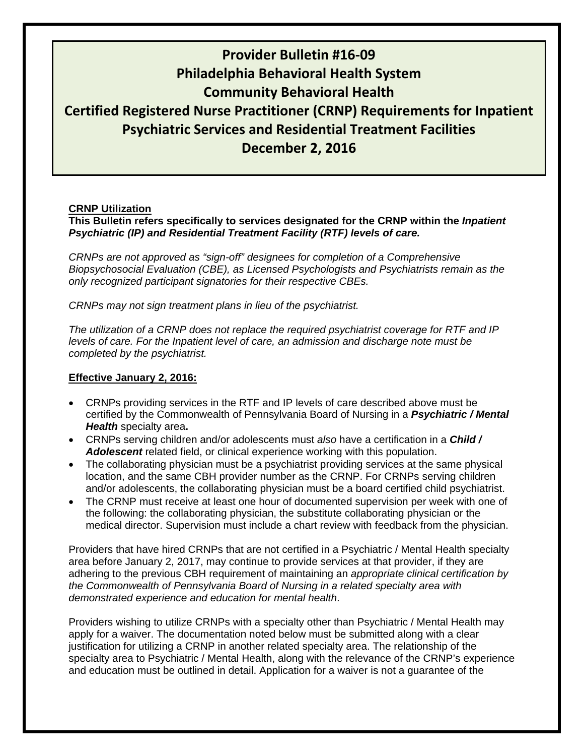# **Provider Bulletin #16‐09 Philadelphia Behavioral Health System Community Behavioral Health Certified Registered Nurse Practitioner (CRNP) Requirements for Inpatient Psychiatric Services and Residential Treatment Facilities December 2, 2016**

### **CRNP Utilization**

### **This Bulletin refers specifically to services designated for the CRNP within the** *Inpatient Psychiatric (IP) and Residential Treatment Facility (RTF) levels of care.*

*CRNPs are not approved as "sign-off" designees for completion of a Comprehensive Biopsychosocial Evaluation (CBE), as Licensed Psychologists and Psychiatrists remain as the only recognized participant signatories for their respective CBEs.* 

*CRNPs may not sign treatment plans in lieu of the psychiatrist.* 

*The utilization of a CRNP does not replace the required psychiatrist coverage for RTF and IP levels of care. For the Inpatient level of care, an admission and discharge note must be completed by the psychiatrist.* 

#### **Effective January 2, 2016:**

- CRNPs providing services in the RTF and IP levels of care described above must be certified by the Commonwealth of Pennsylvania Board of Nursing in a *Psychiatric / Mental Health* specialty area**.**
- CRNPs serving children and/or adolescents must *also* have a certification in a *Child / Adolescent* related field, or clinical experience working with this population.
- The collaborating physician must be a psychiatrist providing services at the same physical location, and the same CBH provider number as the CRNP. For CRNPs serving children and/or adolescents, the collaborating physician must be a board certified child psychiatrist.
- The CRNP must receive at least one hour of documented supervision per week with one of the following: the collaborating physician, the substitute collaborating physician or the medical director. Supervision must include a chart review with feedback from the physician.

Providers that have hired CRNPs that are not certified in a Psychiatric / Mental Health specialty area before January 2, 2017, may continue to provide services at that provider, if they are adhering to the previous CBH requirement of maintaining an *appropriate clinical certification by the Commonwealth of Pennsylvania Board of Nursing in a related specialty area with demonstrated experience and education for mental health*.

Providers wishing to utilize CRNPs with a specialty other than Psychiatric / Mental Health may apply for a waiver. The documentation noted below must be submitted along with a clear justification for utilizing a CRNP in another related specialty area. The relationship of the specialty area to Psychiatric / Mental Health, along with the relevance of the CRNP's experience and education must be outlined in detail. Application for a waiver is not a guarantee of the